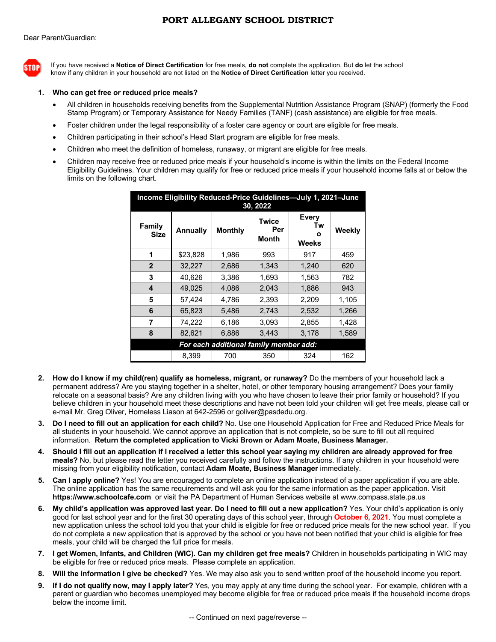## **PORT ALLEGANY SCHOOL DISTRICT**



If you have received a **Notice of Direct Certification** for free meals, **do not** complete the application. But **do** let the school know if any children in your household are not listed on the **Notice of Direct Certification** letter you received.

## **1. Who can get free or reduced price meals?**

- All children in households receiving benefits from the Supplemental Nutrition Assistance Program (SNAP) (formerly the Food Stamp Program) or Temporary Assistance for Needy Families (TANF) (cash assistance) are eligible for free meals.
- Foster children under the legal responsibility of a foster care agency or court are eligible for free meals.
- Children participating in their school's Head Start program are eligible for free meals.
- Children who meet the definition of homeless, runaway, or migrant are eligible for free meals.
- Children may receive free or reduced price meals if your household's income is within the limits on the Federal Income Eligibility Guidelines. Your children may qualify for free or reduced price meals if your household income falls at or below the limits on the following chart.

| Income Eligibility Reduced-Price Guidelines-July 1, 2021-June<br>30, 2022 |                 |                |                                     |                           |        |
|---------------------------------------------------------------------------|-----------------|----------------|-------------------------------------|---------------------------|--------|
| <b>Family</b><br>Size                                                     | <b>Annually</b> | <b>Monthly</b> | <b>Twice</b><br>Per<br><b>Month</b> | Every<br>Tw<br>ο<br>Weeks | Weekly |
| 1                                                                         | \$23,828        | 1,986          | 993                                 | 917                       | 459    |
| $\overline{2}$                                                            | 32,227          | 2,686          | 1,343                               | 1,240                     | 620    |
| 3                                                                         | 40.626          | 3.386          | 1.693                               | 1.563                     | 782    |
| 4                                                                         | 49.025          | 4.086          | 2.043                               | 1.886                     | 943    |
| 5                                                                         | 57.424          | 4.786          | 2,393                               | 2,209                     | 1,105  |
| 6                                                                         | 65.823          | 5.486          | 2,743                               | 2,532                     | 1,266  |
| 7                                                                         | 74.222          | 6,186          | 3,093                               | 2.855                     | 1,428  |
| 8                                                                         | 82,621          | 6,886          | 3.443                               | 3,178                     | 1,589  |
| For each additional family member add:                                    |                 |                |                                     |                           |        |
|                                                                           | 8.399           | 700            | 350                                 | 324                       | 162    |

- **2. How do I know if my child(ren) qualify as homeless, migrant, or runaway?** Do the members of your household lack a permanent address? Are you staying together in a shelter, hotel, or other temporary housing arrangement? Does your family relocate on a seasonal basis? Are any children living with you who have chosen to leave their prior family or household? If you believe children in your household meet these descriptions and have not been told your children will get free meals, please call or e-mail Mr. Greg Oliver, Homeless Liason at 642-2596 or goliver@pasdedu.org.
- **3. Do I need to fill out an application for each child?** No. Use one Household Application for Free and Reduced Price Meals for all students in your household. We cannot approve an application that is not complete, so be sure to fill out all required information. **Return the completed application to Vicki Brown or Adam Moate, Business Manager.**
- **4. Should I fill out an application if I received a letter this school year saying my children are already approved for free meals?** No, but please read the letter you received carefully and follow the instructions. If any children in your household were missing from your eligibility notification, contact **Adam Moate, Business Manager** immediately.
- **5. Can I apply online?** Yes! You are encouraged to complete an online application instead of a paper application if you are able. The online application has the same requirements and will ask you for the same information as the paper application. Visit **https://www.schoolcafe.com** or visit the PA Department of Human Services website at www.compass.state.pa.us
- **6. My child's application was approved last year. Do I need to fill out a new application?** Yes. Your child's application is only good for last school year and for the first 30 operating days of this school year, through **October 6, 2021**. You must complete a new application unless the school told you that your child is eligible for free or reduced price meals for the new school year. If you do not complete a new application that is approved by the school or you have not been notified that your child is eligible for free meals, your child will be charged the full price for meals.
- **7. I get Women, Infants, and Children (WIC). Can my children get free meals?** Children in households participating in WIC may be eligible for free or reduced price meals. Please complete an application.
- **8. Will the information I give be checked?** Yes. We may also ask you to send written proof of the household income you report.
- **9. If I do not qualify now, may I apply later?** Yes, you may apply at any time during the school year. For example, children with a parent or guardian who becomes unemployed may become eligible for free or reduced price meals if the household income drops below the income limit.

-- Continued on next page/reverse --